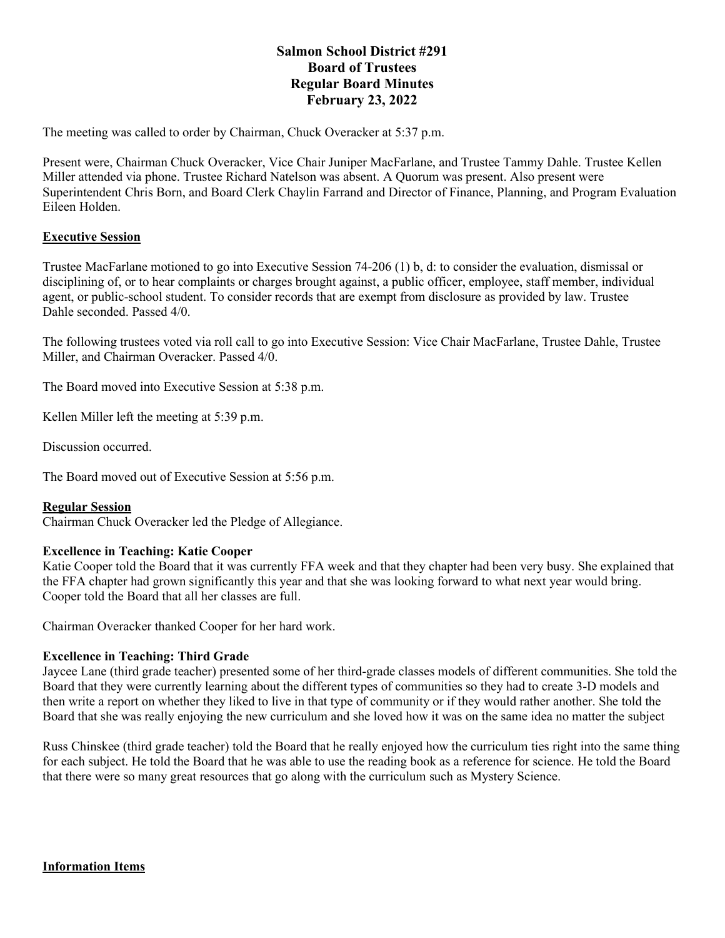# **Salmon School District #291 Board of Trustees Regular Board Minutes February 23, 2022**

The meeting was called to order by Chairman, Chuck Overacker at 5:37 p.m.

Present were, Chairman Chuck Overacker, Vice Chair Juniper MacFarlane, and Trustee Tammy Dahle. Trustee Kellen Miller attended via phone. Trustee Richard Natelson was absent. A Quorum was present. Also present were Superintendent Chris Born, and Board Clerk Chaylin Farrand and Director of Finance, Planning, and Program Evaluation Eileen Holden.

# **Executive Session**

Trustee MacFarlane motioned to go into Executive Session 74-206 (1) b, d: to consider the evaluation, dismissal or disciplining of, or to hear complaints or charges brought against, a public officer, employee, staff member, individual agent, or public-school student. To consider records that are exempt from disclosure as provided by law. Trustee Dahle seconded. Passed 4/0.

The following trustees voted via roll call to go into Executive Session: Vice Chair MacFarlane, Trustee Dahle, Trustee Miller, and Chairman Overacker. Passed 4/0.

The Board moved into Executive Session at 5:38 p.m.

Kellen Miller left the meeting at 5:39 p.m.

Discussion occurred.

The Board moved out of Executive Session at 5:56 p.m.

#### **Regular Session**

Chairman Chuck Overacker led the Pledge of Allegiance.

# **Excellence in Teaching: Katie Cooper**

Katie Cooper told the Board that it was currently FFA week and that they chapter had been very busy. She explained that the FFA chapter had grown significantly this year and that she was looking forward to what next year would bring. Cooper told the Board that all her classes are full.

Chairman Overacker thanked Cooper for her hard work.

# **Excellence in Teaching: Third Grade**

Jaycee Lane (third grade teacher) presented some of her third-grade classes models of different communities. She told the Board that they were currently learning about the different types of communities so they had to create 3-D models and then write a report on whether they liked to live in that type of community or if they would rather another. She told the Board that she was really enjoying the new curriculum and she loved how it was on the same idea no matter the subject

Russ Chinskee (third grade teacher) told the Board that he really enjoyed how the curriculum ties right into the same thing for each subject. He told the Board that he was able to use the reading book as a reference for science. He told the Board that there were so many great resources that go along with the curriculum such as Mystery Science.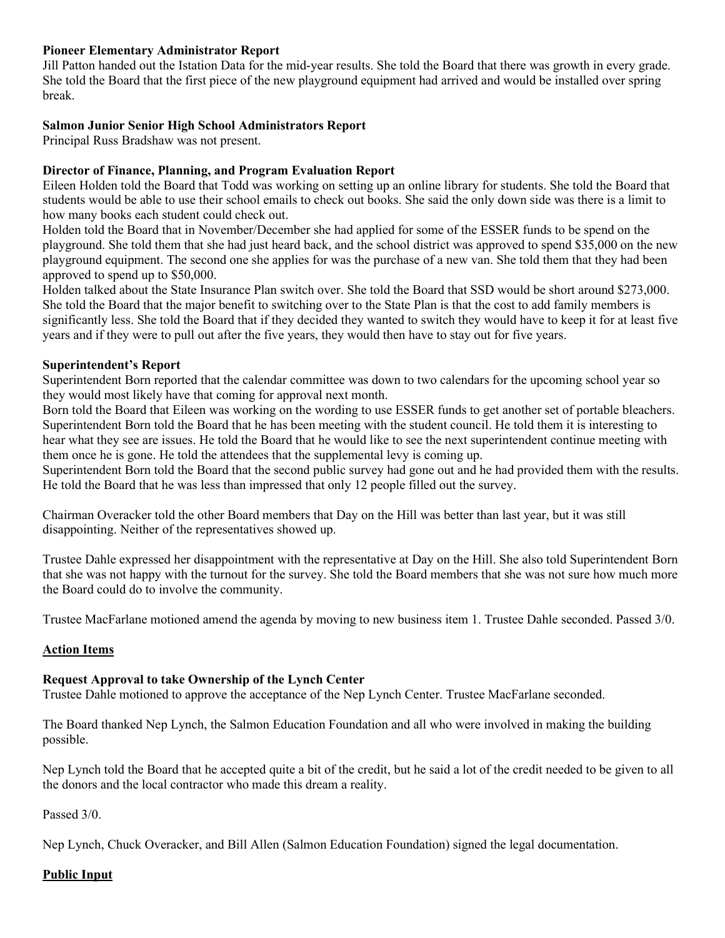#### **Pioneer Elementary Administrator Report**

Jill Patton handed out the Istation Data for the mid-year results. She told the Board that there was growth in every grade. She told the Board that the first piece of the new playground equipment had arrived and would be installed over spring break.

#### **Salmon Junior Senior High School Administrators Report**

Principal Russ Bradshaw was not present.

#### **Director of Finance, Planning, and Program Evaluation Report**

Eileen Holden told the Board that Todd was working on setting up an online library for students. She told the Board that students would be able to use their school emails to check out books. She said the only down side was there is a limit to how many books each student could check out.

Holden told the Board that in November/December she had applied for some of the ESSER funds to be spend on the playground. She told them that she had just heard back, and the school district was approved to spend \$35,000 on the new playground equipment. The second one she applies for was the purchase of a new van. She told them that they had been approved to spend up to \$50,000.

Holden talked about the State Insurance Plan switch over. She told the Board that SSD would be short around \$273,000. She told the Board that the major benefit to switching over to the State Plan is that the cost to add family members is significantly less. She told the Board that if they decided they wanted to switch they would have to keep it for at least five years and if they were to pull out after the five years, they would then have to stay out for five years.

#### **Superintendent's Report**

Superintendent Born reported that the calendar committee was down to two calendars for the upcoming school year so they would most likely have that coming for approval next month.

Born told the Board that Eileen was working on the wording to use ESSER funds to get another set of portable bleachers. Superintendent Born told the Board that he has been meeting with the student council. He told them it is interesting to hear what they see are issues. He told the Board that he would like to see the next superintendent continue meeting with them once he is gone. He told the attendees that the supplemental levy is coming up.

Superintendent Born told the Board that the second public survey had gone out and he had provided them with the results. He told the Board that he was less than impressed that only 12 people filled out the survey.

Chairman Overacker told the other Board members that Day on the Hill was better than last year, but it was still disappointing. Neither of the representatives showed up.

Trustee Dahle expressed her disappointment with the representative at Day on the Hill. She also told Superintendent Born that she was not happy with the turnout for the survey. She told the Board members that she was not sure how much more the Board could do to involve the community.

Trustee MacFarlane motioned amend the agenda by moving to new business item 1. Trustee Dahle seconded. Passed 3/0.

# **Action Items**

# **Request Approval to take Ownership of the Lynch Center**

Trustee Dahle motioned to approve the acceptance of the Nep Lynch Center. Trustee MacFarlane seconded.

The Board thanked Nep Lynch, the Salmon Education Foundation and all who were involved in making the building possible.

Nep Lynch told the Board that he accepted quite a bit of the credit, but he said a lot of the credit needed to be given to all the donors and the local contractor who made this dream a reality.

Passed 3/0.

Nep Lynch, Chuck Overacker, and Bill Allen (Salmon Education Foundation) signed the legal documentation.

#### **Public Input**